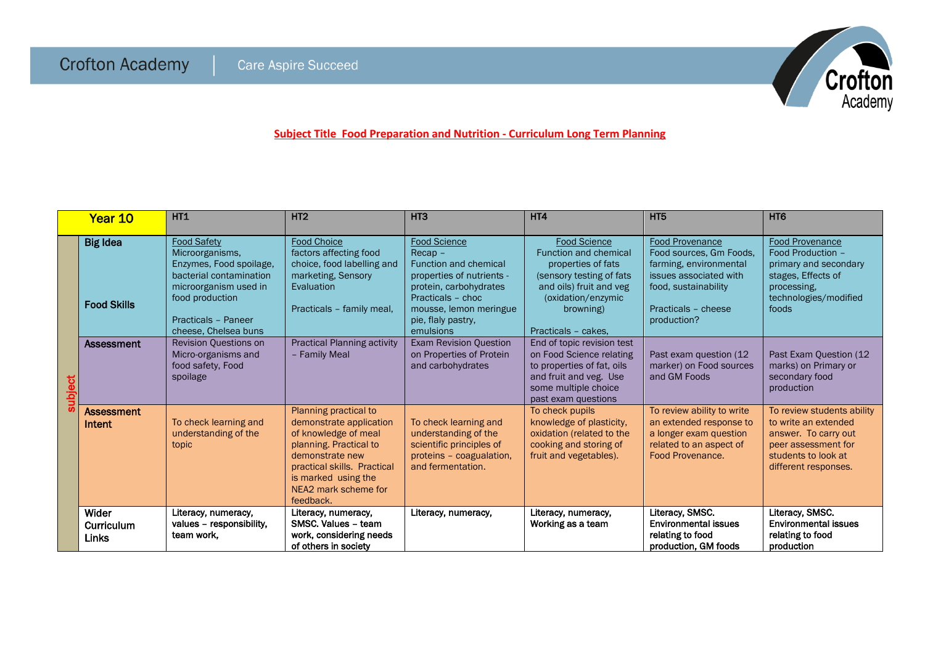

**Subject Title Food Preparation and Nutrition - Curriculum Long Term Planning**

|        | Year 10                               | <b>HT1</b>                                                                                                                                                                             | HT <sub>2</sub>                                                                                                                                                                                                  | HT <sub>3</sub>                                                                                                                                                                                           | HT4                                                                                                                                                                                        | HT <sub>5</sub>                                                                                                                                                     | HT <sub>6</sub>                                                                                                                                  |
|--------|---------------------------------------|----------------------------------------------------------------------------------------------------------------------------------------------------------------------------------------|------------------------------------------------------------------------------------------------------------------------------------------------------------------------------------------------------------------|-----------------------------------------------------------------------------------------------------------------------------------------------------------------------------------------------------------|--------------------------------------------------------------------------------------------------------------------------------------------------------------------------------------------|---------------------------------------------------------------------------------------------------------------------------------------------------------------------|--------------------------------------------------------------------------------------------------------------------------------------------------|
| ubject | <b>Big Idea</b><br><b>Food Skills</b> | <b>Food Safety</b><br>Microorganisms,<br>Enzymes, Food spoilage,<br>bacterial contamination<br>microorganism used in<br>food production<br>Practicals - Paneer<br>cheese, Chelsea buns | <b>Food Choice</b><br>factors affecting food<br>choice, food labelling and<br>marketing, Sensory<br>Evaluation<br>Practicals - family meal,                                                                      | <b>Food Science</b><br>$Recap -$<br><b>Function and chemical</b><br>properties of nutrients -<br>protein, carbohydrates<br>Practicals - choc<br>mousse, lemon meringue<br>pie, flaly pastry.<br>emulsions | <b>Food Science</b><br><b>Function and chemical</b><br>properties of fats<br>(sensory testing of fats<br>and oils) fruit and veg<br>(oxidation/enzymic<br>browning)<br>Practicals - cakes. | <b>Food Provenance</b><br>Food sources, Gm Foods,<br>farming, environmental<br>issues associated with<br>food, sustainability<br>Practicals - cheese<br>production? | <b>Food Provenance</b><br>Food Production -<br>primary and secondary<br>stages, Effects of<br>processing.<br>technologies/modified<br>foods      |
|        | Assessment                            | <b>Revision Questions on</b><br>Micro-organisms and<br>food safety, Food<br>spoilage                                                                                                   | <b>Practical Planning activity</b><br>- Family Meal                                                                                                                                                              | <b>Exam Revision Question</b><br>on Properties of Protein<br>and carbohydrates                                                                                                                            | End of topic revision test<br>on Food Science relating<br>to properties of fat, oils<br>and fruit and veg. Use<br>some multiple choice<br>past exam questions                              | Past exam question (12)<br>marker) on Food sources<br>and GM Foods                                                                                                  | Past Exam Question (12<br>marks) on Primary or<br>secondary food<br>production                                                                   |
|        | <b>Assessment</b><br>Intent           | To check learning and<br>understanding of the<br>topic                                                                                                                                 | Planning practical to<br>demonstrate application<br>of knowledge of meal<br>planning. Practical to<br>demonstrate new<br>practical skills. Practical<br>is marked using the<br>NEA2 mark scheme for<br>feedback. | To check learning and<br>understanding of the<br>scientific principles of<br>proteins - coagualation,<br>and fermentation.                                                                                | To check pupils<br>knowledge of plasticity,<br>oxidation (related to the<br>cooking and storing of<br>fruit and vegetables).                                                               | To review ability to write<br>an extended response to<br>a longer exam question<br>related to an aspect of<br>Food Provenance.                                      | To review students ability<br>to write an extended<br>answer. To carry out<br>peer assessment for<br>students to look at<br>different responses. |
|        | Wider<br>Curriculum<br>Links          | Literacy, numeracy,<br>values - responsibility,<br>team work.                                                                                                                          | Literacy, numeracy,<br>SMSC, Values - team<br>work, considering needs<br>of others in society                                                                                                                    | Literacy, numeracy,                                                                                                                                                                                       | Literacy, numeracy,<br>Working as a team                                                                                                                                                   | Literacy, SMSC.<br><b>Environmental issues</b><br>relating to food<br>production, GM foods                                                                          | Literacy, SMSC.<br><b>Environmental issues</b><br>relating to food<br>production                                                                 |